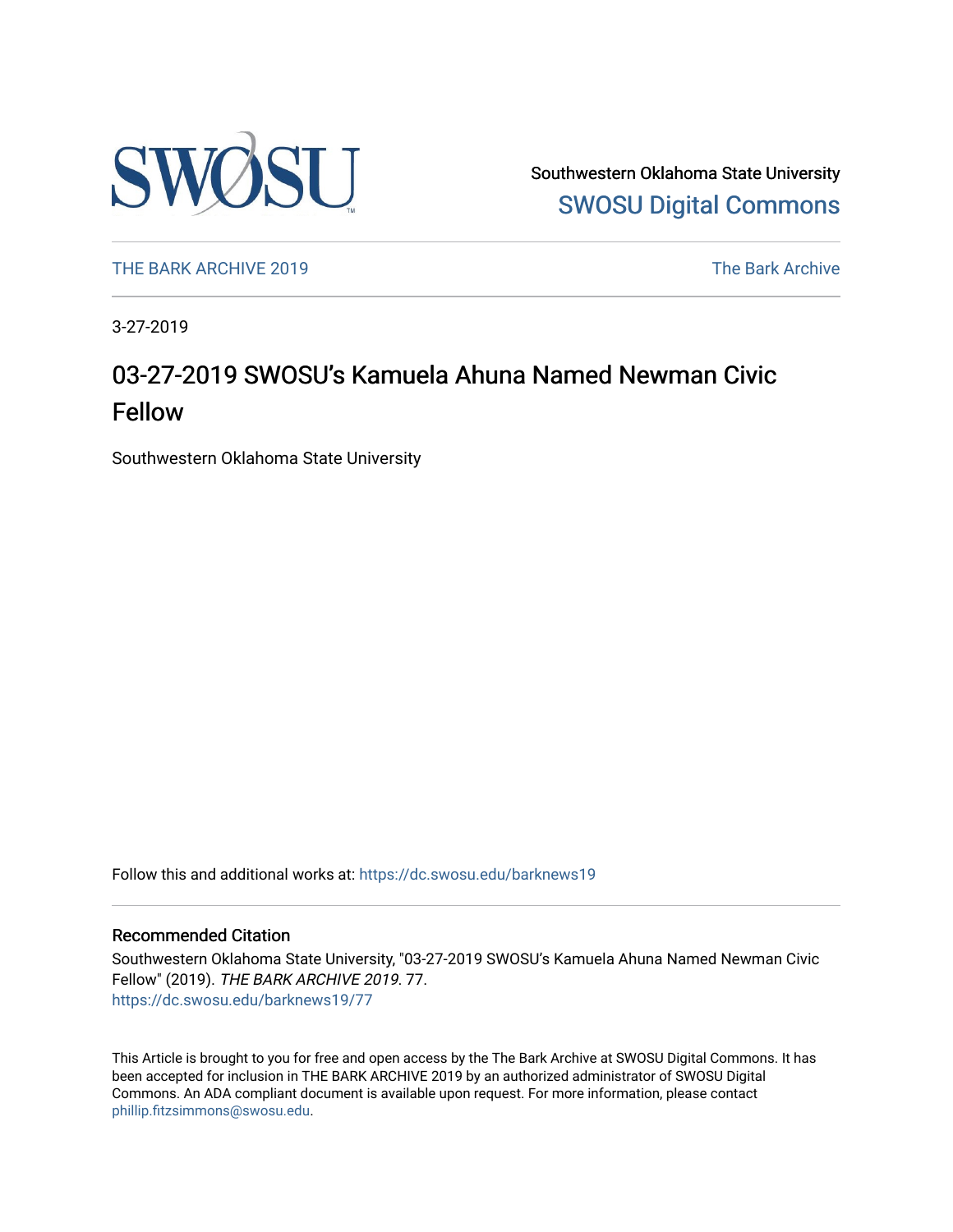

Southwestern Oklahoma State University [SWOSU Digital Commons](https://dc.swosu.edu/) 

[THE BARK ARCHIVE 2019](https://dc.swosu.edu/barknews19) The Bark Archive

3-27-2019

# 03-27-2019 SWOSU's Kamuela Ahuna Named Newman Civic Fellow

Southwestern Oklahoma State University

Follow this and additional works at: [https://dc.swosu.edu/barknews19](https://dc.swosu.edu/barknews19?utm_source=dc.swosu.edu%2Fbarknews19%2F77&utm_medium=PDF&utm_campaign=PDFCoverPages)

#### Recommended Citation

Southwestern Oklahoma State University, "03-27-2019 SWOSU's Kamuela Ahuna Named Newman Civic Fellow" (2019). THE BARK ARCHIVE 2019. 77. [https://dc.swosu.edu/barknews19/77](https://dc.swosu.edu/barknews19/77?utm_source=dc.swosu.edu%2Fbarknews19%2F77&utm_medium=PDF&utm_campaign=PDFCoverPages) 

This Article is brought to you for free and open access by the The Bark Archive at SWOSU Digital Commons. It has been accepted for inclusion in THE BARK ARCHIVE 2019 by an authorized administrator of SWOSU Digital Commons. An ADA compliant document is available upon request. For more information, please contact [phillip.fitzsimmons@swosu.edu](mailto:phillip.fitzsimmons@swosu.edu).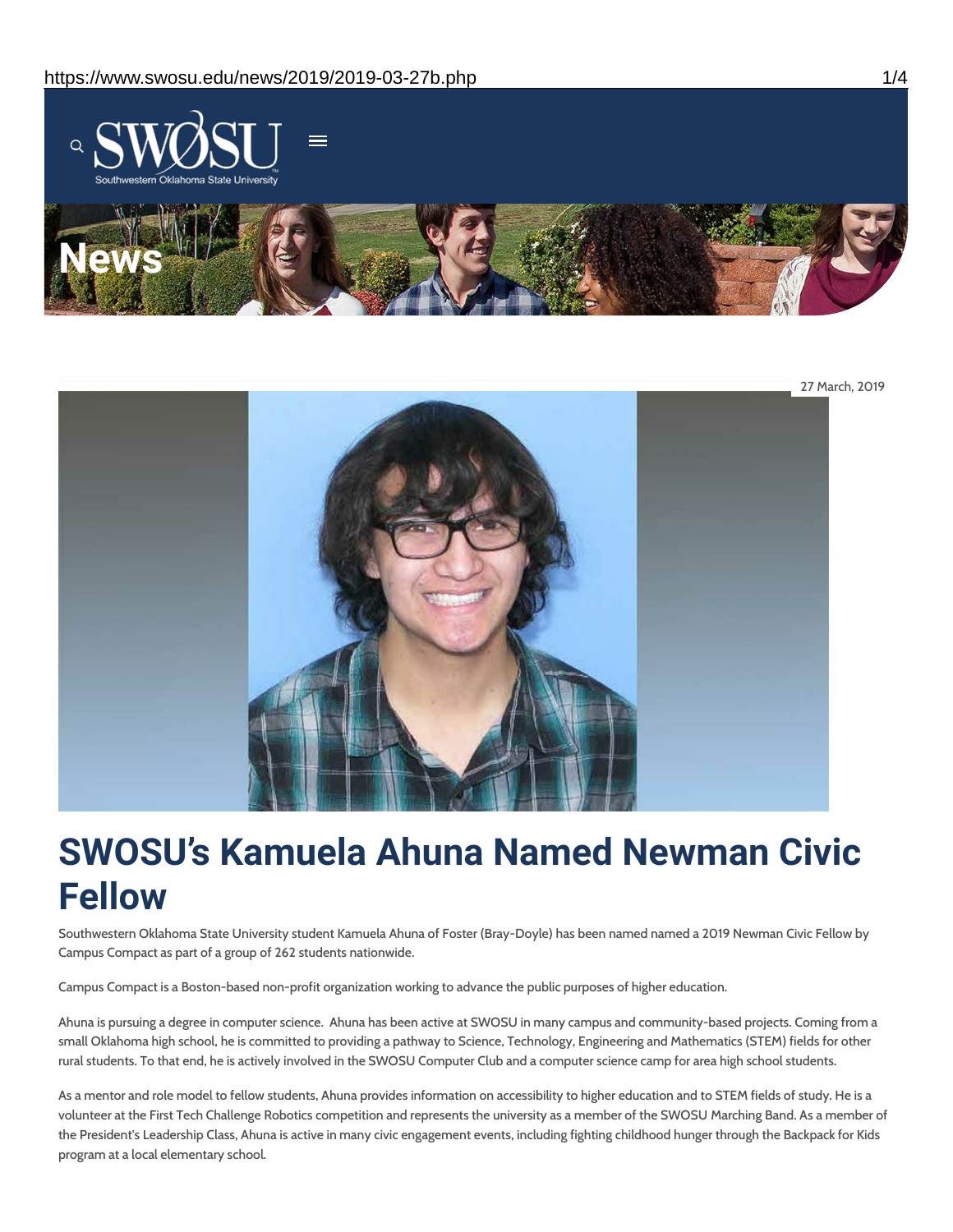



# **SWOSU's Kamuela Ahuna Named Newman Civic Fellow**

Southwestern Oklahoma State University student Kamuela Ahuna of Foster (Bray-Doyle) has been named named a 2019 Newman Civic Fellow by Campus Compact as part of a group of 262 students nationwide.

Campus Compact is a Boston-based non-profit organization working to advance the public purposes of higher education.

Ahuna is pursuing a degree in computer science. Ahuna has been active at SWOSU in many campus and community-based projects. Coming from a small Oklahoma high school, he is committed to providing a pathway to Science, Technology, Engineering and Mathematics (STEM) fields for other rural students. To that end, he is actively involved in the SWOSU Computer Club and a computer science camp for area high school students.

As a mentor and role model to fellow students, Ahuna provides information on accessibility to higher education and to STEM fields of study. He is a volunteer at the First Tech Challenge Robotics competition and represents the university as a member of the SWOSU Marching Band. As a member of the President's Leadership Class, Ahuna is active in many civic engagement events, including fighting childhood hunger through the Backpack for Kids program at a local elementary school.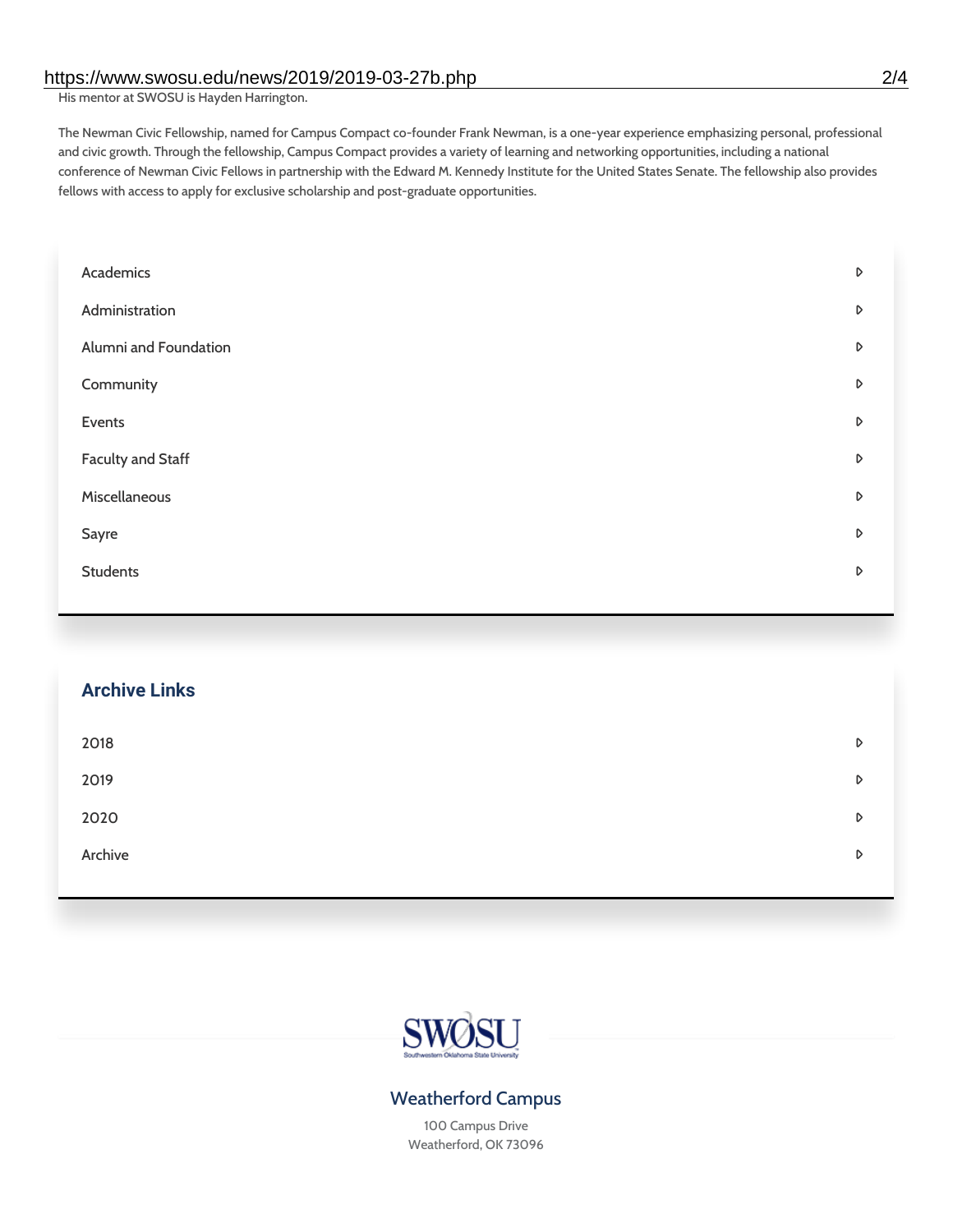His mentor at SWOSU is Hayden Harrington.

The Newman Civic Fellowship, named for Campus Compact co-founder Frank Newman, is a one-year experience emphasizing personal, professional and civic growth. Through the fellowship, Campus Compact provides a variety of learning and networking opportunities, including a national conference of Newman Civic Fellows in partnership with the Edward M. Kennedy Institute for the United States Senate. The fellowship also provides fellows with access to apply for exclusive scholarship and post-graduate opportunities.

| Academics             | D |
|-----------------------|---|
| Administration        | D |
| Alumni and Foundation | D |
| Community             | D |
| Events                | D |
| Faculty and Staff     | D |
| Miscellaneous         | D |
| Sayre                 | D |
| <b>Students</b>       | D |
|                       |   |

| <b>Archive Links</b> |   |
|----------------------|---|
| 2018                 | D |
| 2019                 | D |
| 2020                 | D |
| Archive              | D |
|                      |   |



## Weatherford Campus

100 Campus Drive Weatherford, OK 73096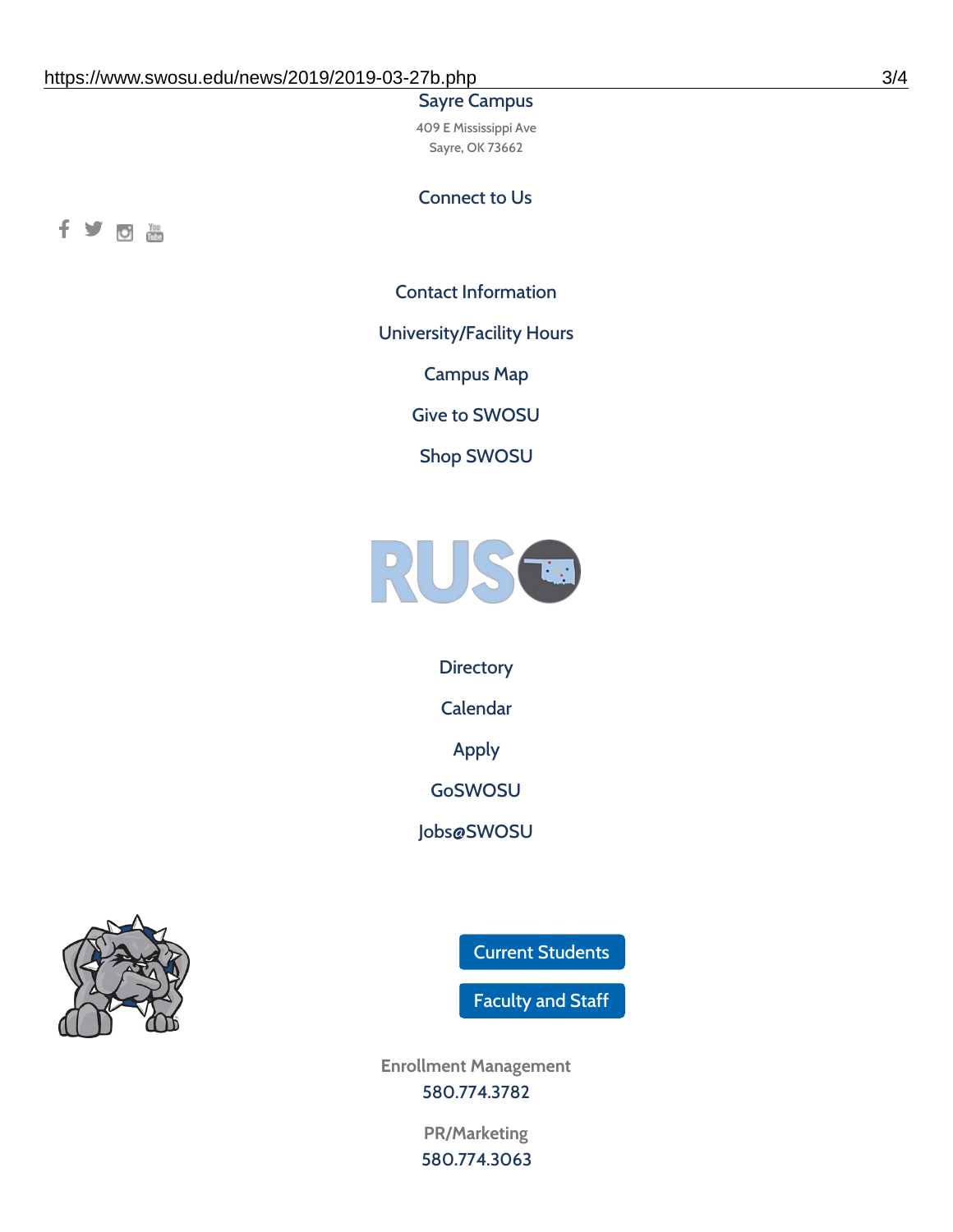### Sayre Campus

409 E Mississippi Ave Sayre, OK 73662

Connect to Us



Contact [Information](https://www.swosu.edu/about/contact.php)

[University/Facility](https://www.swosu.edu/about/operating-hours.php) Hours

[Campus](https://map.concept3d.com/?id=768#!ct/10964,10214,10213,10212,10205,10204,10203,10202,10136,10129,10128,0,31226,10130,10201,10641,0) Map

Give to [SWOSU](https://standingfirmly.com/donate)

Shop [SWOSU](https://shopswosu.merchorders.com/)



**[Directory](https://www.swosu.edu/directory/index.php)** 

[Calendar](https://eventpublisher.dudesolutions.com/swosu/)

[Apply](https://www.swosu.edu/admissions/apply-to-swosu.php)

[GoSWOSU](https://qlsso.quicklaunchsso.com/home/1267)

[Jobs@SWOSU](https://swosu.csod.com/ux/ats/careersite/1/home?c=swosu)



Current [Students](https://bulldog.swosu.edu/index.php)

[Faculty](https://bulldog.swosu.edu/faculty-staff/index.php) and Staff

**Enrollment Management** [580.774.3782](tel:5807743782)

> **PR/Marketing** [580.774.3063](tel:5807743063)